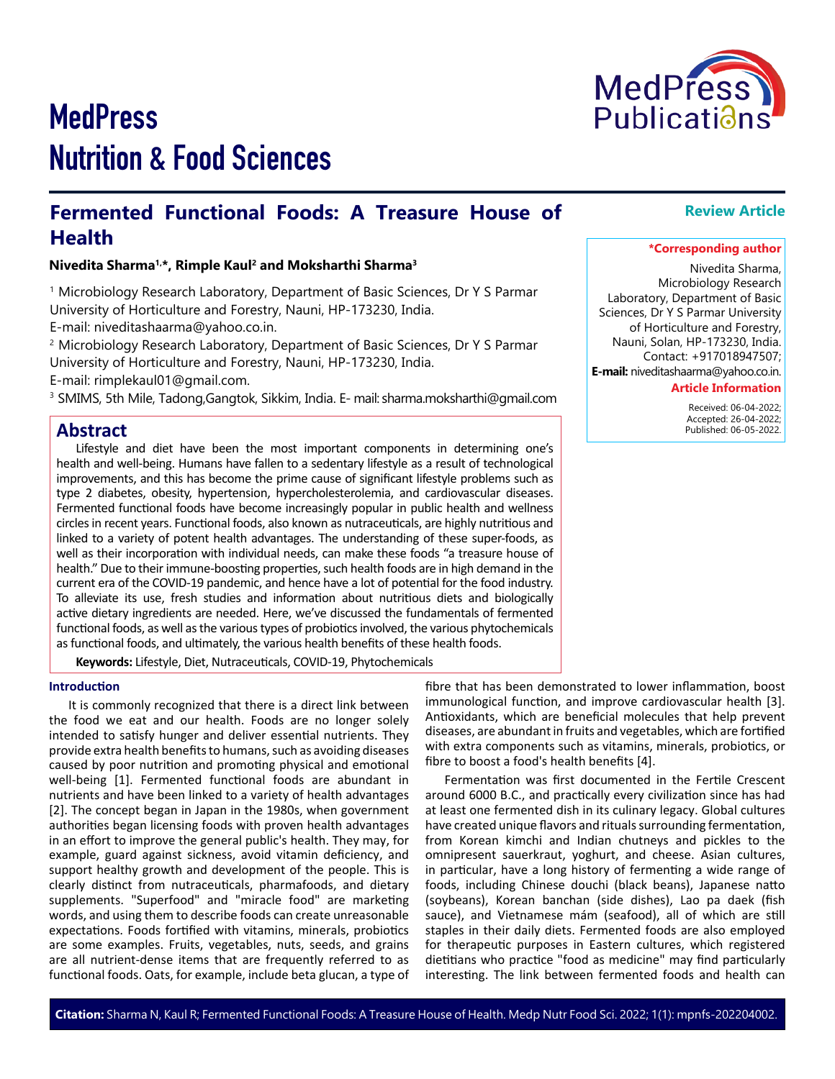# **MedPress** Nutrition & Food Sciences

### **Fermented Functional Foods: A Treasure House of Health**

**Nivedita Sharma1,\*, Rimple Kaul2 and Moksharthi Sharma3**

<sup>1</sup> Microbiology Research Laboratory, Department of Basic Sciences, Dr Y S Parmar University of Horticulture and Forestry, Nauni, HP-173230, India.

E-mail: niveditashaarma@yahoo.co.in.

<sup>2</sup> Microbiology Research Laboratory, Department of Basic Sciences, Dr Y S Parmar University of Horticulture and Forestry, Nauni, HP-173230, India.

E-mail: rimplekaul01@gmail.com.

3 SMIMS, 5th Mile, Tadong,Gangtok, Sikkim, India. E- mail: sharma.moksharthi@gmail.com

#### **Abstract**

Lifestyle and diet have been the most important components in determining one's health and well-being. Humans have fallen to a sedentary lifestyle as a result of technological improvements, and this has become the prime cause of significant lifestyle problems such as type 2 diabetes, obesity, hypertension, hypercholesterolemia, and cardiovascular diseases. Fermented functional foods have become increasingly popular in public health and wellness circles in recent years. Functional foods, also known as nutraceuticals, are highly nutritious and linked to a variety of potent health advantages. The understanding of these super-foods, as well as their incorporation with individual needs, can make these foods "a treasure house of health." Due to their immune-boosting properties, such health foods are in high demand in the current era of the COVID-19 pandemic, and hence have a lot of potential for the food industry. To alleviate its use, fresh studies and information about nutritious diets and biologically active dietary ingredients are needed. Here, we've discussed the fundamentals of fermented functional foods, as well as the various types of probiotics involved, the various phytochemicals as functional foods, and ultimately, the various health benefits of these health foods.

**Keywords:** Lifestyle, Diet, Nutraceuticals, COVID-19, Phytochemicals

#### **Introduction**

It is commonly recognized that there is a direct link between the food we eat and our health. Foods are no longer solely intended to satisfy hunger and deliver essential nutrients. They provide extra health benefits to humans, such as avoiding diseases caused by poor nutrition and promoting physical and emotional well-being [1]. Fermented functional foods are abundant in nutrients and have been linked to a variety of health advantages [2]. The concept began in Japan in the 1980s, when government authorities began licensing foods with proven health advantages in an effort to improve the general public's health. They may, for example, guard against sickness, avoid vitamin deficiency, and support healthy growth and development of the people. This is clearly distinct from nutraceuticals, pharmafoods, and dietary supplements. "Superfood" and "miracle food" are marketing words, and using them to describe foods can create unreasonable expectations. Foods fortified with vitamins, minerals, probiotics are some examples. Fruits, vegetables, nuts, seeds, and grains are all nutrient-dense items that are frequently referred to as functional foods. Oats, for example, include beta glucan, a type of

fibre that has been demonstrated to lower inflammation, boost immunological function, and improve cardiovascular health [3]. Antioxidants, which are beneficial molecules that help prevent diseases, are abundant in fruits and vegetables, which are fortified with extra components such as vitamins, minerals, probiotics, or fibre to boost a food's health benefits [4].

Fermentation was first documented in the Fertile Crescent around 6000 B.C., and practically every civilization since has had at least one fermented dish in its culinary legacy. Global cultures have created unique flavors and rituals surrounding fermentation, from Korean kimchi and Indian chutneys and pickles to the omnipresent sauerkraut, yoghurt, and cheese. Asian cultures, in particular, have a long history of fermenting a wide range of foods, including Chinese douchi (black beans), Japanese natto (soybeans), Korean banchan (side dishes), Lao pa daek (fish sauce), and Vietnamese mám (seafood), all of which are still staples in their daily diets. Fermented foods are also employed for therapeutic purposes in Eastern cultures, which registered dietitians who practice "food as medicine" may find particularly interesting. The link between fermented foods and health can

## **Review Article**

#### **\*Corresponding author**

Nivedita Sharma, Microbiology Research Laboratory, Department of Basic Sciences, Dr Y S Parmar University of Horticulture and Forestry, Nauni, Solan, HP-173230, India. Contact: +917018947507; **E-mail:** niveditashaarma@yahoo.co.in.

#### **Article Information**

 Received: 06-04-2022; Accepted: 26-04-2022; Published: 06-05-2022.

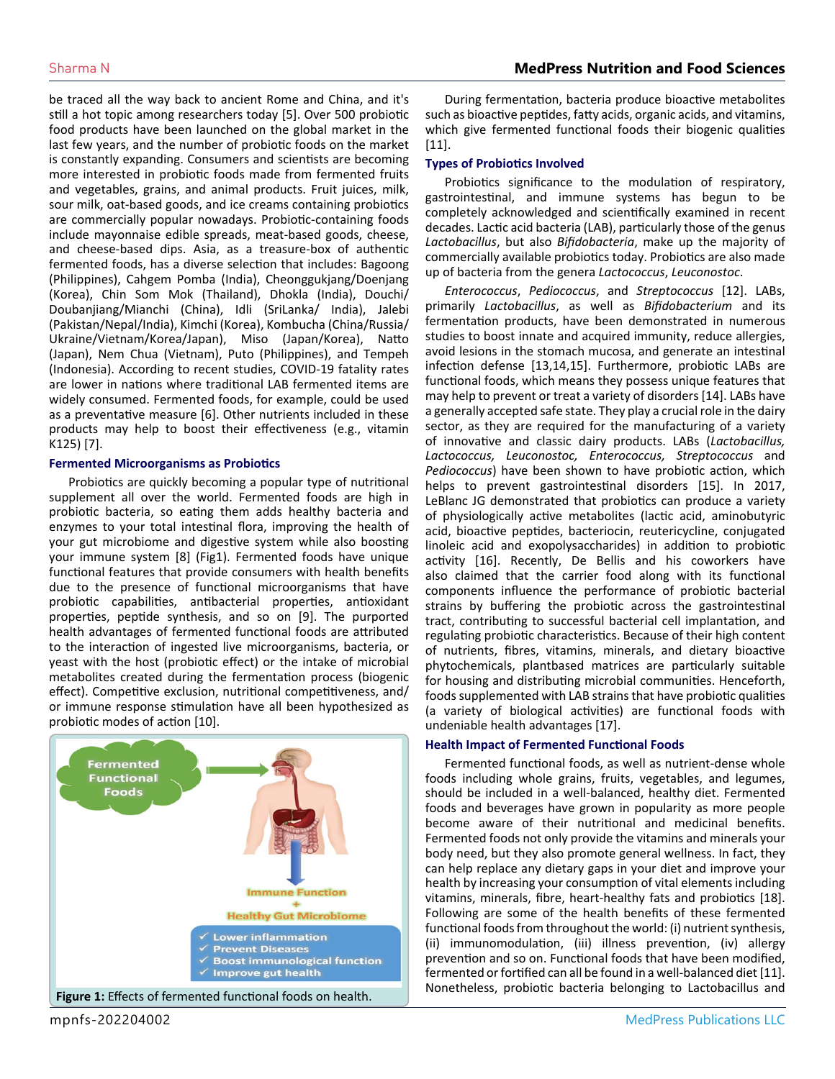be traced all the way back to ancient Rome and China, and it's still a hot topic among researchers today [5]. Over 500 probiotic food products have been launched on the global market in the last few years, and the number of probiotic foods on the market is constantly expanding. Consumers and scientists are becoming more interested in probiotic foods made from fermented fruits and vegetables, grains, and animal products. Fruit juices, milk, sour milk, oat-based goods, and ice creams containing probiotics are commercially popular nowadays. Probiotic-containing foods include mayonnaise edible spreads, meat-based goods, cheese, and cheese-based dips. Asia, as a treasure-box of authentic fermented foods, has a diverse selection that includes: Bagoong (Philippines), Cahgem Pomba (India), Cheonggukjang/Doenjang (Korea), Chin Som Mok (Thailand), Dhokla (India), Douchi/ Doubanjiang/Mianchi (China), Idli (SriLanka/ India), Jalebi (Pakistan/Nepal/India), Kimchi (Korea), Kombucha (China/Russia/ Ukraine/Vietnam/Korea/Japan), Miso (Japan/Korea), Natto (Japan), Nem Chua (Vietnam), Puto (Philippines), and Tempeh (Indonesia). According to recent studies, COVID-19 fatality rates are lower in nations where traditional LAB fermented items are widely consumed. Fermented foods, for example, could be used as a preventative measure [6]. Other nutrients included in these products may help to boost their effectiveness (e.g., vitamin K125) [7].

#### **Fermented Microorganisms as Probiotics**

Probiotics are quickly becoming a popular type of nutritional supplement all over the world. Fermented foods are high in probiotic bacteria, so eating them adds healthy bacteria and enzymes to your total intestinal flora, improving the health of your gut microbiome and digestive system while also boosting your immune system [8] (Fig1). Fermented foods have unique functional features that provide consumers with health benefits due to the presence of functional microorganisms that have probiotic capabilities, antibacterial properties, antioxidant properties, peptide synthesis, and so on [9]. The purported health advantages of fermented functional foods are attributed to the interaction of ingested live microorganisms, bacteria, or yeast with the host (probiotic effect) or the intake of microbial metabolites created during the fermentation process (biogenic effect). Competitive exclusion, nutritional competitiveness, and/ or immune response stimulation have all been hypothesized as probiotic modes of action [10].



During fermentation, bacteria produce bioactive metabolites such as bioactive peptides, fatty acids, organic acids, and vitamins, which give fermented functional foods their biogenic qualities [11].

#### **Types of Probiotics Involved**

Probiotics significance to the modulation of respiratory, gastrointestinal, and immune systems has begun to be completely acknowledged and scientifically examined in recent decades. Lactic acid bacteria (LAB), particularly those of the genus *Lactobacillus*, but also *Bifidobacteria*, make up the majority of commercially available probiotics today. Probiotics are also made up of bacteria from the genera *Lactococcus*, *Leuconostoc*.

*Enterococcus*, *Pediococcus*, and *Streptococcus* [12]. LABs, primarily *Lactobacillus*, as well as *Bifidobacterium* and its fermentation products, have been demonstrated in numerous studies to boost innate and acquired immunity, reduce allergies, avoid lesions in the stomach mucosa, and generate an intestinal infection defense [13,14,15]. Furthermore, probiotic LABs are functional foods, which means they possess unique features that may help to prevent or treat a variety of disorders [14]. LABs have a generally accepted safe state. They play a crucial role in the dairy sector, as they are required for the manufacturing of a variety of innovative and classic dairy products. LABs (*Lactobacillus, Lactococcus, Leuconostoc, Enterococcus, Streptococcus* and *Pediococcus*) have been shown to have probiotic action, which helps to prevent gastrointestinal disorders [15]. In 2017, LeBlanc JG demonstrated that probiotics can produce a variety of physiologically active metabolites (lactic acid, aminobutyric acid, bioactive peptides, bacteriocin, reutericycline, conjugated linoleic acid and exopolysaccharides) in addition to probiotic activity [16]. Recently, De Bellis and his coworkers have also claimed that the carrier food along with its functional components influence the performance of probiotic bacterial strains by buffering the probiotic across the gastrointestinal tract, contributing to successful bacterial cell implantation, and regulating probiotic characteristics. Because of their high content of nutrients, fibres, vitamins, minerals, and dietary bioactive phytochemicals, plantbased matrices are particularly suitable for housing and distributing microbial communities. Henceforth, foods supplemented with LAB strains that have probiotic qualities (a variety of biological activities) are functional foods with undeniable health advantages [17].

#### **Health Impact of Fermented Functional Foods**

Fermented functional foods, as well as nutrient-dense whole foods including whole grains, fruits, vegetables, and legumes, should be included in a well-balanced, healthy diet. Fermented foods and beverages have grown in popularity as more people become aware of their nutritional and medicinal benefits. Fermented foods not only provide the vitamins and minerals your body need, but they also promote general wellness. In fact, they can help replace any dietary gaps in your diet and improve your health by increasing your consumption of vital elements including vitamins, minerals, fibre, heart-healthy fats and probiotics [18]. Following are some of the health benefits of these fermented functional foods from throughout the world: (i) nutrient synthesis, (ii) immunomodulation, (iii) illness prevention, (iv) allergy prevention and so on. Functional foods that have been modified, fermented or fortified can all be found in a well-balanced diet [11]. Nonetheless, probiotic bacteria belonging to Lactobacillus and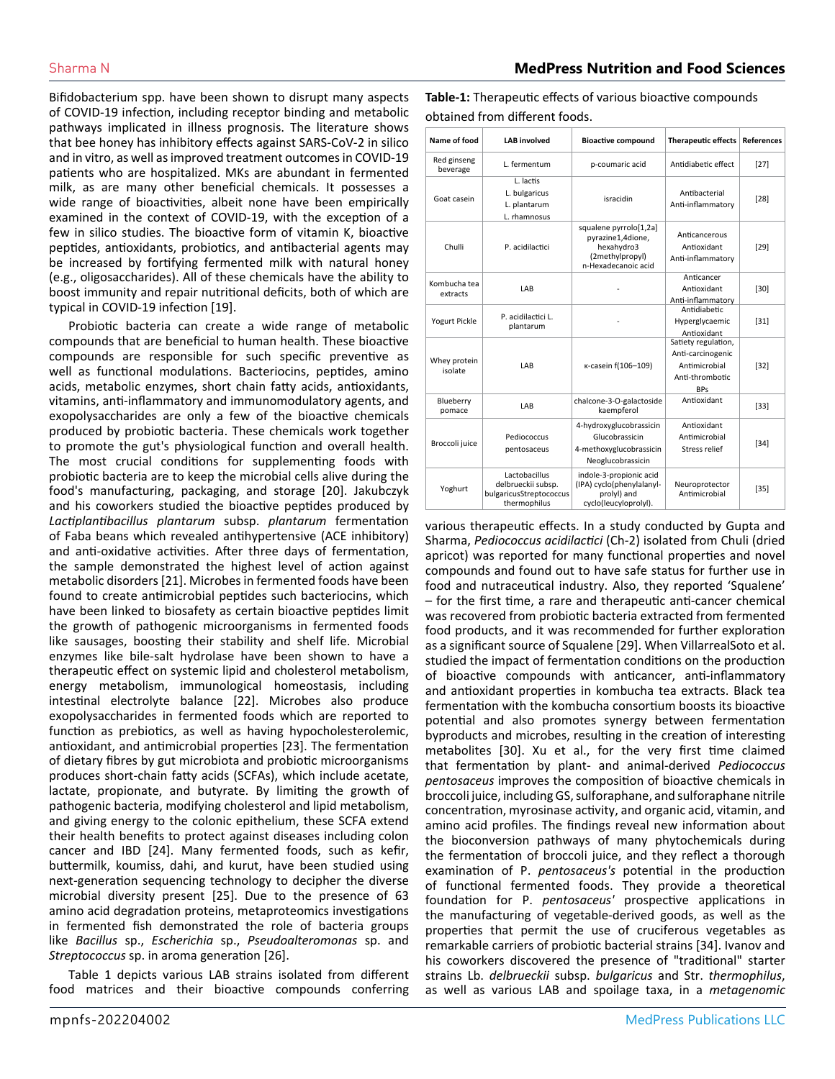Bifidobacterium spp. have been shown to disrupt many aspects of COVID-19 infection, including receptor binding and metabolic pathways implicated in illness prognosis. The literature shows that bee honey has inhibitory effects against SARS-CoV-2 in silico and in vitro, as well as improved treatment outcomes in COVID-19 patients who are hospitalized. MKs are abundant in fermented milk, as are many other beneficial chemicals. It possesses a wide range of bioactivities, albeit none have been empirically examined in the context of COVID-19, with the exception of a few in silico studies. The bioactive form of vitamin K, bioactive peptides, antioxidants, probiotics, and antibacterial agents may be increased by fortifying fermented milk with natural honey (e.g., oligosaccharides). All of these chemicals have the ability to boost immunity and repair nutritional deficits, both of which are typical in COVID-19 infection [19].

Probiotic bacteria can create a wide range of metabolic compounds that are beneficial to human health. These bioactive compounds are responsible for such specific preventive as well as functional modulations. Bacteriocins, peptides, amino acids, metabolic enzymes, short chain fatty acids, antioxidants, vitamins, anti-inflammatory and immunomodulatory agents, and exopolysaccharides are only a few of the bioactive chemicals produced by probiotic bacteria. These chemicals work together to promote the gut's physiological function and overall health. The most crucial conditions for supplementing foods with probiotic bacteria are to keep the microbial cells alive during the food's manufacturing, packaging, and storage [20]. Jakubczyk and his coworkers studied the bioactive peptides produced by *Lactiplantibacillus plantarum* subsp. *plantarum* fermentation of Faba beans which revealed antihypertensive (ACE inhibitory) and anti-oxidative activities. After three days of fermentation, the sample demonstrated the highest level of action against metabolic disorders [21]. Microbes in fermented foods have been found to create antimicrobial peptides such bacteriocins, which have been linked to biosafety as certain bioactive peptides limit the growth of pathogenic microorganisms in fermented foods like sausages, boosting their stability and shelf life. Microbial enzymes like bile-salt hydrolase have been shown to have a therapeutic effect on systemic lipid and cholesterol metabolism, energy metabolism, immunological homeostasis, including intestinal electrolyte balance [22]. Microbes also produce exopolysaccharides in fermented foods which are reported to function as prebiotics, as well as having hypocholesterolemic, antioxidant, and antimicrobial properties [23]. The fermentation of dietary fibres by gut microbiota and probiotic microorganisms produces short-chain fatty acids (SCFAs), which include acetate, lactate, propionate, and butyrate. By limiting the growth of pathogenic bacteria, modifying cholesterol and lipid metabolism, and giving energy to the colonic epithelium, these SCFA extend their health benefits to protect against diseases including colon cancer and IBD [24]. Many fermented foods, such as kefir, buttermilk, koumiss, dahi, and kurut, have been studied using next-generation sequencing technology to decipher the diverse microbial diversity present [25]. Due to the presence of 63 amino acid degradation proteins, metaproteomics investigations in fermented fish demonstrated the role of bacteria groups like *Bacillus* sp., *Escherichia* sp., *Pseudoalteromonas* sp. and *Streptococcus* sp. in aroma generation [26].

Table 1 depicts various LAB strains isolated from different food matrices and their bioactive compounds conferring **Table-1:** Therapeutic effects of various bioactive compounds obtained from different foods.

| Name of food             | <b>LAB</b> involved                                                            | <b>Bioactive compound</b>                                                                           | <b>Therapeutic effects</b>                                                                 | <b>References</b> |
|--------------------------|--------------------------------------------------------------------------------|-----------------------------------------------------------------------------------------------------|--------------------------------------------------------------------------------------------|-------------------|
| Red ginseng<br>beverage  | L. fermentum                                                                   | p-coumaric acid                                                                                     | Antidiabetic effect                                                                        | $[27]$            |
| Goat casein              | L. lactis<br>L. bulgaricus<br>L. plantarum<br>L. rhamnosus                     | isracidin                                                                                           | Antibacterial<br>Anti-inflammatory                                                         | $[28]$            |
| Chulli                   | P. acidilactici                                                                | squalene pyrrolo[1,2a]<br>pyrazine1,4dione,<br>hexahydro3<br>(2methylpropyl)<br>n-Hexadecanoic acid | Anticancerous<br>Antioxidant<br>Anti-inflammatory                                          | $[29]$            |
| Kombucha tea<br>extracts | LAB                                                                            |                                                                                                     | Anticancer<br>Antioxidant<br>Anti-inflammatory                                             | $[30]$            |
| <b>Yogurt Pickle</b>     | P. acidilactici L.<br>plantarum                                                |                                                                                                     | <b>Antidiabetic</b><br>Hyperglycaemic<br>Antioxidant                                       | $[31]$            |
| Whey protein<br>isolate  | LAB                                                                            | к-casein f(106-109)                                                                                 | Satiety regulation,<br>Anti-carcinogenic<br>Antimicrobial<br>Anti-thrombotic<br><b>BPs</b> | $[32]$            |
| Blueberry<br>pomace      | LAB                                                                            | chalcone-3-O-galactoside<br>kaempferol                                                              | Antioxidant                                                                                | $[33]$            |
| Broccoli juice           | Pediococcus<br>pentosaceus                                                     | 4-hydroxyglucobrassicin<br>Glucobrassicin<br>4-methoxyglucobrassicin<br>Neoglucobrassicin           | Antioxidant<br>Antimicrobial<br>Stress relief                                              | $[34]$            |
| Yoghurt                  | Lactobacillus<br>delbrueckii subsp.<br>bulgaricusStreptococcus<br>thermophilus | indole-3-propionic acid<br>(IPA) cyclo(phenylalanyl-<br>prolyl) and<br>cyclo(leucyloprolyl).        | Neuroprotector<br>Antimicrobial                                                            | $[35]$            |

various therapeutic effects. In a study conducted by Gupta and Sharma, *Pediococcus acidilactici* (Ch-2) isolated from Chuli (dried apricot) was reported for many functional properties and novel compounds and found out to have safe status for further use in food and nutraceutical industry. Also, they reported 'Squalene' – for the first time, a rare and therapeutic anti-cancer chemical was recovered from probiotic bacteria extracted from fermented food products, and it was recommended for further exploration as a significant source of Squalene [29]. When VillarrealSoto et al. studied the impact of fermentation conditions on the production of bioactive compounds with anticancer, anti-inflammatory and antioxidant properties in kombucha tea extracts. Black tea fermentation with the kombucha consortium boosts its bioactive potential and also promotes synergy between fermentation byproducts and microbes, resulting in the creation of interesting metabolites [30]. Xu et al., for the very first time claimed that fermentation by plant- and animal-derived *Pediococcus pentosaceus* improves the composition of bioactive chemicals in broccoli juice, including GS, sulforaphane, and sulforaphane nitrile concentration, myrosinase activity, and organic acid, vitamin, and amino acid profiles. The findings reveal new information about the bioconversion pathways of many phytochemicals during the fermentation of broccoli juice, and they reflect a thorough examination of P. *pentosaceus's* potential in the production of functional fermented foods. They provide a theoretical foundation for P. *pentosaceus'* prospective applications in the manufacturing of vegetable-derived goods, as well as the properties that permit the use of cruciferous vegetables as remarkable carriers of probiotic bacterial strains [34]. Ivanov and his coworkers discovered the presence of "traditional" starter strains Lb. *delbrueckii* subsp. *bulgaricus* and Str. *thermophilus*, as well as various LAB and spoilage taxa, in a *metagenomic*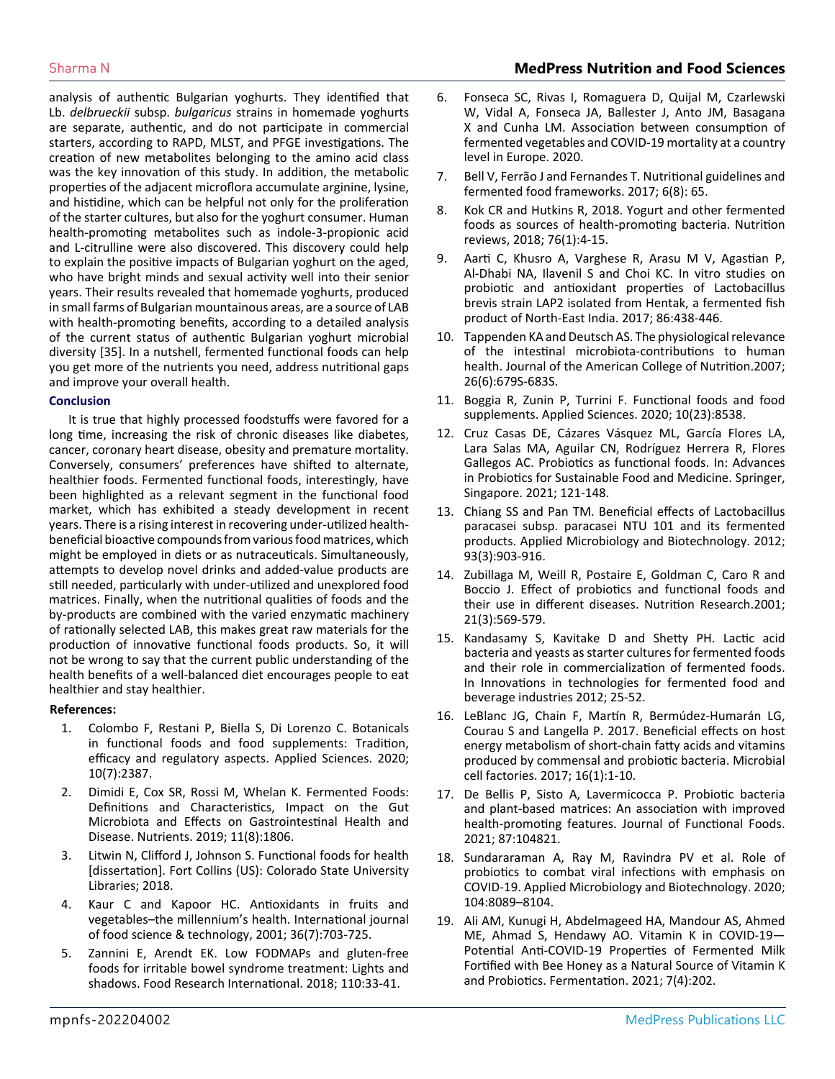analysis of authentic Bulgarian yoghurts. They identified that Lb. *delbrueckii* subsp. *bulgaricus* strains in homemade yoghurts are separate, authentic, and do not participate in commercial starters, according to RAPD, MLST, and PFGE investigations. The creation of new metabolites belonging to the amino acid class was the key innovation of this study. In addition, the metabolic properties of the adjacent microflora accumulate arginine, lysine, and histidine, which can be helpful not only for the proliferation of the starter cultures, but also for the yoghurt consumer. Human health-promoting metabolites such as indole-3-propionic acid and L-citrulline were also discovered. This discovery could help to explain the positive impacts of Bulgarian yoghurt on the aged, who have bright minds and sexual activity well into their senior years. Their results revealed that homemade yoghurts, produced in small farms of Bulgarian mountainous areas, are a source of LAB with health-promoting benefits, according to a detailed analysis of the current status of authentic Bulgarian yoghurt microbial diversity [35]. In a nutshell, fermented functional foods can help you get more of the nutrients you need, address nutritional gaps and improve your overall health.

#### **Conclusion**

It is true that highly processed foodstuffs were favored for a long time, increasing the risk of chronic diseases like diabetes, cancer, coronary heart disease, obesity and premature mortality. Conversely, consumers' preferences have shifted to alternate, healthier foods. Fermented functional foods, interestingly, have been highlighted as a relevant segment in the functional food market, which has exhibited a steady development in recent years. There is a rising interest in recovering under-utilized healthbeneficial bioactive compounds from various food matrices, which might be employed in diets or as nutraceuticals. Simultaneously, attempts to develop novel drinks and added-value products are still needed, particularly with under-utilized and unexplored food matrices. Finally, when the nutritional qualities of foods and the by-products are combined with the varied enzymatic machinery of rationally selected LAB, this makes great raw materials for the production of innovative functional foods products. So, it will not be wrong to say that the current public understanding of the health benefits of a well-balanced diet encourages people to eat healthier and stay healthier.

#### **References:**

- 1. [Colombo F, Restani P, Biella S, Di Lorenzo C. Botanicals](https://www.mdpi.com/2076-3417/10/7/2387)  [in functional foods and food supplements: Tradition,](https://www.mdpi.com/2076-3417/10/7/2387)  [efficacy and regulatory aspects. Applied Sciences. 2020;](https://www.mdpi.com/2076-3417/10/7/2387) [10\(7\):2387.](https://www.mdpi.com/2076-3417/10/7/2387)
- 2. [Dimidi E, Cox SR, Rossi M, Whelan K. Fermented Foods:](https://www.ncbi.nlm.nih.gov/pmc/articles/PMC6723656/)  [Definitions and Characteristics, Impact on the Gut](https://www.ncbi.nlm.nih.gov/pmc/articles/PMC6723656/)  [Microbiota and Effects on Gastrointestinal Health and](https://www.ncbi.nlm.nih.gov/pmc/articles/PMC6723656/)  [Disease. Nutrients. 2019; 11\(8\):1806.](https://www.ncbi.nlm.nih.gov/pmc/articles/PMC6723656/)
- 3. Litwin N, Clifford J, Johnson S. Functional foods for health [dissertation]. Fort Collins (US): Colorado State University Libraries; 2018.
- 4. [Kaur C and Kapoor HC. Antioxidants in fruits and](https://ifst.onlinelibrary.wiley.com/doi/10.1111/j.1365-2621.2001.00513.x#:~:text=Fruits and vegetables contain significant,diseases in humans (33).)  [vegetables–the millennium's health. International journal](https://ifst.onlinelibrary.wiley.com/doi/10.1111/j.1365-2621.2001.00513.x#:~:text=Fruits and vegetables contain significant,diseases in humans (33).)  [of food science & technology, 2001; 36\(7\):703-725.](https://ifst.onlinelibrary.wiley.com/doi/10.1111/j.1365-2621.2001.00513.x#:~:text=Fruits and vegetables contain significant,diseases in humans (33).)
- 5. [Zannini E, Arendt EK. Low FODMAPs and gluten-free](https://pubmed.ncbi.nlm.nih.gov/30029704/)  [foods for irritable bowel syndrome treatment: Lights and](https://pubmed.ncbi.nlm.nih.gov/30029704/)  [shadows. Food Research International. 2018; 110:33-41.](https://pubmed.ncbi.nlm.nih.gov/30029704/)
- 6. Fonseca SC, Rivas I, Romaguera D, Quijal M, Czarlewski W, Vidal A, Fonseca JA, Ballester J, Anto JM, Basagana X and Cunha LM. Association between consumption of fermented vegetables and COVID-19 mortality at a country level in Europe. 2020.
- 7. [Bell V, Ferrão J and Fernandes T. Nutritional guidelines and](https://www.ncbi.nlm.nih.gov/pmc/articles/PMC5575640/)  [fermented food frameworks. 2017; 6\(8\): 65.](https://www.ncbi.nlm.nih.gov/pmc/articles/PMC5575640/)
- 8. [Kok CR and Hutkins R, 2018. Yogurt and other fermented](https://pubmed.ncbi.nlm.nih.gov/30452699/)  [foods as sources of health-promoting bacteria. Nutrition](https://pubmed.ncbi.nlm.nih.gov/30452699/)  [reviews, 2018; 76\(1\):4-15.](https://pubmed.ncbi.nlm.nih.gov/30452699/)
- 9. [Aarti C, Khusro A, Varghese R, Arasu M V, Agastian P,](https://www.sciencedirect.com/science/article/abs/pii/S0023643817305340)  [Al-Dhabi NA, Ilavenil S and Choi KC. In vitro studies on](https://www.sciencedirect.com/science/article/abs/pii/S0023643817305340)  [probiotic and antioxidant properties of Lactobacillus](https://www.sciencedirect.com/science/article/abs/pii/S0023643817305340)  [brevis strain LAP2 isolated from Hentak, a fermented fish](https://www.sciencedirect.com/science/article/abs/pii/S0023643817305340)  [product of North-East India. 2017; 86:438-446.](https://www.sciencedirect.com/science/article/abs/pii/S0023643817305340)
- 10. [Tappenden KA and Deutsch AS. The physiological relevance](https://pubmed.ncbi.nlm.nih.gov/18187433/)  [of the intestinal microbiota-contributions to human](https://pubmed.ncbi.nlm.nih.gov/18187433/)  [health. Journal of the American College of Nutrition.2007;](https://pubmed.ncbi.nlm.nih.gov/18187433/)  [26\(6\):679S-683S.](https://pubmed.ncbi.nlm.nih.gov/18187433/)
- 11. [Boggia R, Zunin P, Turrini F. Functional foods and food](https://www.sciencedirect.com/science/article/pii/B9780128164679000022#:~:text=The term %E2%80%9Cfunctional foods%E2%80%9D refers,enriched with health%2Dpromoting additives.)  [supplements. Applied Sciences. 2020; 10\(23\):8538.](https://www.sciencedirect.com/science/article/pii/B9780128164679000022#:~:text=The term %E2%80%9Cfunctional foods%E2%80%9D refers,enriched with health%2Dpromoting additives.)
- 12. [Cruz Casas DE, Cázares Vásquez ML, García Flores LA,](https://link.springer.com/book/10.1007/978-981-15-6795-7)  [Lara Salas MA, Aguilar CN, Rodríguez Herrera R, Flores](https://link.springer.com/book/10.1007/978-981-15-6795-7)  [Gallegos AC. Probiotics as functional foods. In: Advances](https://link.springer.com/book/10.1007/978-981-15-6795-7)  [in Probiotics for Sustainable Food and Medicine. Springer,](https://link.springer.com/book/10.1007/978-981-15-6795-7)  [Singapore. 2021; 121-148.](https://link.springer.com/book/10.1007/978-981-15-6795-7)
- 13. [Chiang SS and Pan TM. Beneficial effects of Lactobacillus](https://pubmed.ncbi.nlm.nih.gov/22159887/#:~:text=paracasei NTU 101 and its fermented products proved to be,inhibition the fat tissue accumulation.)  [paracasei subsp. paracasei NTU 101 and its fermented](https://pubmed.ncbi.nlm.nih.gov/22159887/#:~:text=paracasei NTU 101 and its fermented products proved to be,inhibition the fat tissue accumulation.)  [products. Applied Microbiology and Biotechnology. 2012;](https://pubmed.ncbi.nlm.nih.gov/22159887/#:~:text=paracasei NTU 101 and its fermented products proved to be,inhibition the fat tissue accumulation.)  [93\(3\):903-916.](https://pubmed.ncbi.nlm.nih.gov/22159887/#:~:text=paracasei NTU 101 and its fermented products proved to be,inhibition the fat tissue accumulation.)
- 14. [Zubillaga M, Weill R, Postaire E, Goldman C, Caro R and](https://www.sciencedirect.com/science/article/abs/pii/S0271531701002810)  [Boccio J. Effect of probiotics and functional foods and](https://www.sciencedirect.com/science/article/abs/pii/S0271531701002810)  [their use in different diseases. Nutrition Research.2001;](https://www.sciencedirect.com/science/article/abs/pii/S0271531701002810)  [21\(3\):569-579.](https://www.sciencedirect.com/science/article/abs/pii/S0271531701002810)
- 15. [Kandasamy S, Kavitake D and Shetty PH. Lactic acid](https://link.springer.com/chapter/10.1007/978-3-319-74820-7_2)  [bacteria and yeasts as starter cultures for fermented foods](https://link.springer.com/chapter/10.1007/978-3-319-74820-7_2)  [and their role in commercialization of fermented foods.](https://link.springer.com/chapter/10.1007/978-3-319-74820-7_2)  [In Innovations in technologies for fermented food and](https://link.springer.com/chapter/10.1007/978-3-319-74820-7_2)  [beverage industries 2012; 25-52.](https://link.springer.com/chapter/10.1007/978-3-319-74820-7_2)
- 16. [LeBlanc JG, Chain F, Martín R, Bermúdez-Humarán LG,](https://pubmed.ncbi.nlm.nih.gov/28482838/)  [Courau S and Langella P. 2017. Beneficial effects on host](https://pubmed.ncbi.nlm.nih.gov/28482838/)  [energy metabolism of short-chain fatty acids and vitamins](https://pubmed.ncbi.nlm.nih.gov/28482838/)  [produced by commensal and probiotic bacteria. Microbial](https://pubmed.ncbi.nlm.nih.gov/28482838/)  [cell factories. 2017; 16\(1\):1-10.](https://pubmed.ncbi.nlm.nih.gov/28482838/)
- 17. [De Bellis P, Sisto A, Lavermicocca P. Probiotic bacteria](https://www.sciencedirect.com/science/article/pii/S1756464621004709)  [and plant-based matrices: An association with improved](https://www.sciencedirect.com/science/article/pii/S1756464621004709)  [health-promoting features. Journal of Functional Foods.](https://www.sciencedirect.com/science/article/pii/S1756464621004709)  [2021; 87:104821.](https://www.sciencedirect.com/science/article/pii/S1756464621004709)
- 18. [Sundararaman A, Ray M, Ravindra PV et al. Role of](https://www.ncbi.nlm.nih.gov/pmc/articles/PMC7434852/)  [probiotics to combat viral infections with emphasis on](https://www.ncbi.nlm.nih.gov/pmc/articles/PMC7434852/)  [COVID-19. Applied Microbiology and Biotechnology. 2020;](https://www.ncbi.nlm.nih.gov/pmc/articles/PMC7434852/)  [104:8089–8104.](https://www.ncbi.nlm.nih.gov/pmc/articles/PMC7434852/)
- 19. [Ali AM, Kunugi H, Abdelmageed HA, Mandour AS, Ahmed](https://www.mdpi.com/2311-5637/7/4/202)  [ME, Ahmad S, Hendawy AO. Vitamin K in COVID-19—](https://www.mdpi.com/2311-5637/7/4/202) [Potential Anti-COVID-19 Properties of Fermented Milk](https://www.mdpi.com/2311-5637/7/4/202)  Fortified with Bee Honey as [a Natural Source of Vitamin K](https://www.mdpi.com/2311-5637/7/4/202)  [and Probiotics. Fermentation. 2021; 7\(4\):202.](https://www.mdpi.com/2311-5637/7/4/202)